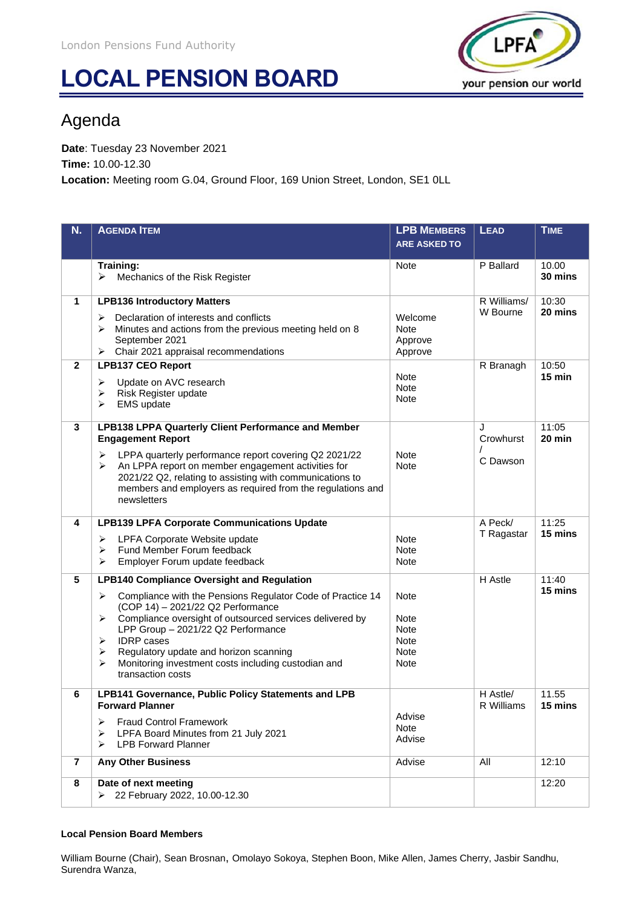# **LOCAL PENSION BOARD**



## Agenda

**Date**: Tuesday 23 November 2021 **Time:** 10.00-12.30 **Location:** Meeting room G.04, Ground Floor, 169 Union Street, London, SE1 0LL

| N.             | <b>AGENDA ITEM</b>                                                                                                                        | <b>LPB MEMBERS</b>         | <b>LEAD</b>            | <b>TIME</b>       |
|----------------|-------------------------------------------------------------------------------------------------------------------------------------------|----------------------------|------------------------|-------------------|
|                |                                                                                                                                           | <b>ARE ASKED TO</b>        |                        |                   |
|                | Training:                                                                                                                                 | Note                       | P Ballard              | 10.00             |
|                | ≻<br>Mechanics of the Risk Register                                                                                                       |                            |                        | 30 mins           |
| $\mathbf{1}$   | <b>LPB136 Introductory Matters</b>                                                                                                        |                            | R Williams/            | 10:30             |
|                | Declaration of interests and conflicts<br>➤                                                                                               | Welcome                    | W Bourne               | 20 mins           |
|                | Minutes and actions from the previous meeting held on 8<br>⋗<br>September 2021                                                            | <b>Note</b><br>Approve     |                        |                   |
|                | $\triangleright$ Chair 2021 appraisal recommendations                                                                                     | Approve                    |                        |                   |
| $\mathbf{2}$   | <b>LPB137 CEO Report</b>                                                                                                                  | <b>Note</b>                | R Branagh              | 10:50<br>$15$ min |
|                | Update on AVC research<br>➤<br>Risk Register update<br>➤                                                                                  | <b>Note</b>                |                        |                   |
|                | ⋗<br><b>EMS</b> update                                                                                                                    | Note                       |                        |                   |
| 3              | <b>LPB138 LPPA Quarterly Client Performance and Member</b>                                                                                |                            | J                      | 11:05             |
|                | <b>Engagement Report</b>                                                                                                                  |                            | Crowhurst              | 20 min            |
|                | LPPA quarterly performance report covering Q2 2021/22<br>➤<br>$\blacktriangleright$<br>An LPPA report on member engagement activities for | <b>Note</b><br><b>Note</b> | C Dawson               |                   |
|                | 2021/22 Q2, relating to assisting with communications to                                                                                  |                            |                        |                   |
|                | members and employers as required from the regulations and<br>newsletters                                                                 |                            |                        |                   |
|                |                                                                                                                                           |                            |                        |                   |
| 4              | <b>LPB139 LPFA Corporate Communications Update</b>                                                                                        |                            | A Peck/<br>T Ragastar  | 11:25<br>15 mins  |
|                | LPFA Corporate Website update<br>➤<br>Fund Member Forum feedback<br>➤                                                                     | <b>Note</b><br>Note        |                        |                   |
|                | Employer Forum update feedback<br>➤                                                                                                       | Note                       |                        |                   |
| 5              | <b>LPB140 Compliance Oversight and Regulation</b>                                                                                         |                            | H Astle                | 11:40             |
|                | Compliance with the Pensions Regulator Code of Practice 14<br>➤<br>(COP 14) - 2021/22 Q2 Performance                                      | Note                       |                        | 15 mins           |
|                | Compliance oversight of outsourced services delivered by<br>$\blacktriangleright$                                                         | Note                       |                        |                   |
|                | LPP Group - 2021/22 Q2 Performance<br><b>IDRP</b> cases<br>➤                                                                              | Note<br>Note               |                        |                   |
|                | Regulatory update and horizon scanning<br>$\blacktriangleright$                                                                           | <b>Note</b>                |                        |                   |
|                | Monitoring investment costs including custodian and<br>➤<br>transaction costs                                                             | Note                       |                        |                   |
|                |                                                                                                                                           |                            |                        |                   |
| 6              | LPB141 Governance, Public Policy Statements and LPB<br><b>Forward Planner</b>                                                             |                            | H Astle/<br>R Williams | 11.55<br>15 mins  |
|                | <b>Fraud Control Framework</b><br>≻                                                                                                       | Advise                     |                        |                   |
|                | LPFA Board Minutes from 21 July 2021<br>➤                                                                                                 | <b>Note</b><br>Advise      |                        |                   |
|                | <b>LPB Forward Planner</b><br>↘                                                                                                           |                            |                        |                   |
| $\overline{7}$ | <b>Any Other Business</b>                                                                                                                 | Advise                     | All                    | 12:10             |
| 8              | Date of next meeting<br>> 22 February 2022, 10.00-12.30                                                                                   |                            |                        | 12:20             |
|                |                                                                                                                                           |                            |                        |                   |

### **Local Pension Board Members**

William Bourne (Chair), Sean Brosnan, Omolayo Sokoya, Stephen Boon, Mike Allen, James Cherry, Jasbir Sandhu, Surendra Wanza,